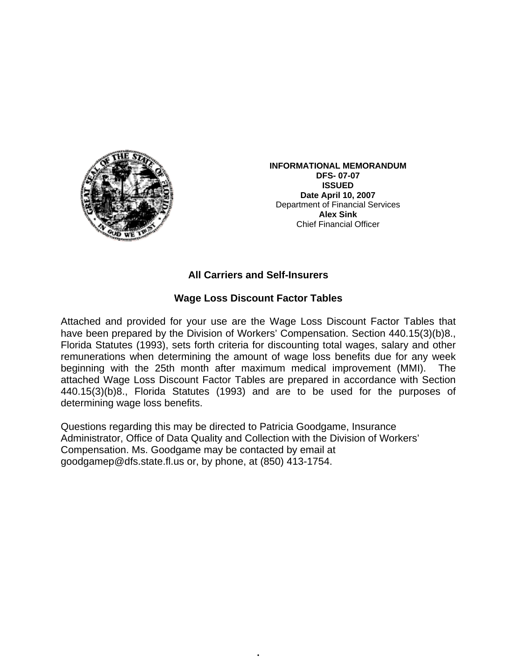

**INFORMATIONAL MEMORANDUM DFS- 07-07 ISSUED Date April 10, 2007**  Department of Financial Services **Alex Sink** Chief Financial Officer

## **All Carriers and Self-Insurers**

## **Wage Loss Discount Factor Tables**

Attached and provided for your use are the Wage Loss Discount Factor Tables that have been prepared by the Division of Workers' Compensation. Section 440.15(3)(b)8., Florida Statutes (1993), sets forth criteria for discounting total wages, salary and other remunerations when determining the amount of wage loss benefits due for any week beginning with the 25th month after maximum medical improvement (MMI). The attached Wage Loss Discount Factor Tables are prepared in accordance with Section 440.15(3)(b)8., Florida Statutes (1993) and are to be used for the purposes of determining wage loss benefits.

•

Questions regarding this may be directed to Patricia Goodgame, Insurance Administrator, Office of Data Quality and Collection with the Division of Workers' Compensation. Ms. Goodgame may be contacted by email at goodgamep@dfs.state.fl.us or, by phone, at (850) 413-1754.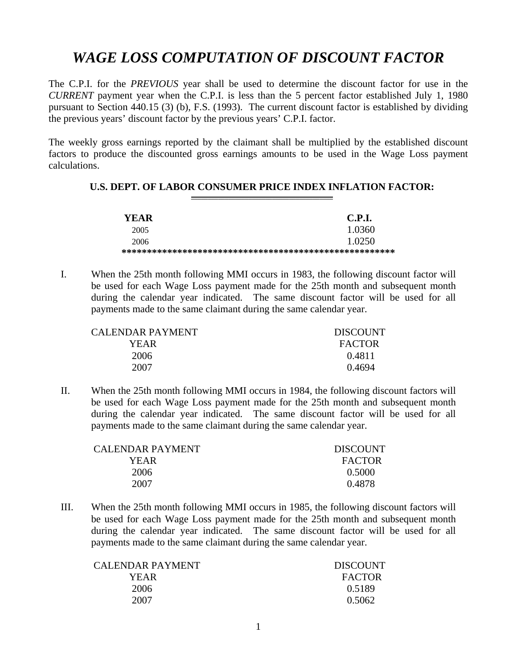## *WAGE LOSS COMPUTATION OF DISCOUNT FACTOR*

The C.P.I. for the *PREVIOUS* year shall be used to determine the discount factor for use in the *CURRENT* payment year when the C.P.I. is less than the 5 percent factor established July 1, 1980 pursuant to Section 440.15 (3) (b), F.S. (1993). The current discount factor is established by dividing the previous years' discount factor by the previous years' C.P.I. factor.

The weekly gross earnings reported by the claimant shall be multiplied by the established discount factors to produce the discounted gross earnings amounts to be used in the Wage Loss payment calculations.

## **U.S. DEPT. OF LABOR CONSUMER PRICE INDEX INFLATION FACTOR:**

| YEAR. | <b>C.P.I.</b> |
|-------|---------------|
| 2005  | 1.0360        |
| 2006  | 1.0250        |
|       |               |

I. When the 25th month following MMI occurs in 1983, the following discount factor will be used for each Wage Loss payment made for the 25th month and subsequent month during the calendar year indicated. The same discount factor will be used for all payments made to the same claimant during the same calendar year.

| CALENDAR PAYMENT | <b>DISCOUNT</b> |
|------------------|-----------------|
| YEAR.            | <b>FACTOR</b>   |
| 2006             | 0.4811          |
| 2007             | 0.4694          |

II. When the 25th month following MMI occurs in 1984, the following discount factors will be used for each Wage Loss payment made for the 25th month and subsequent month during the calendar year indicated. The same discount factor will be used for all payments made to the same claimant during the same calendar year.

| <b>CALENDAR PAYMENT</b> | <b>DISCOUNT</b> |
|-------------------------|-----------------|
| YEAR                    | <b>FACTOR</b>   |
| 2006                    | 0.5000          |
| 2007                    | 0.4878          |

III. When the 25th month following MMI occurs in 1985, the following discount factors will be used for each Wage Loss payment made for the 25th month and subsequent month during the calendar year indicated. The same discount factor will be used for all payments made to the same claimant during the same calendar year.

| <b>CALENDAR PAYMENT</b> | <b>DISCOUNT</b> |
|-------------------------|-----------------|
| YEAR                    | <b>FACTOR</b>   |
| 2006                    | 0.5189          |
| 2007                    | 0.5062          |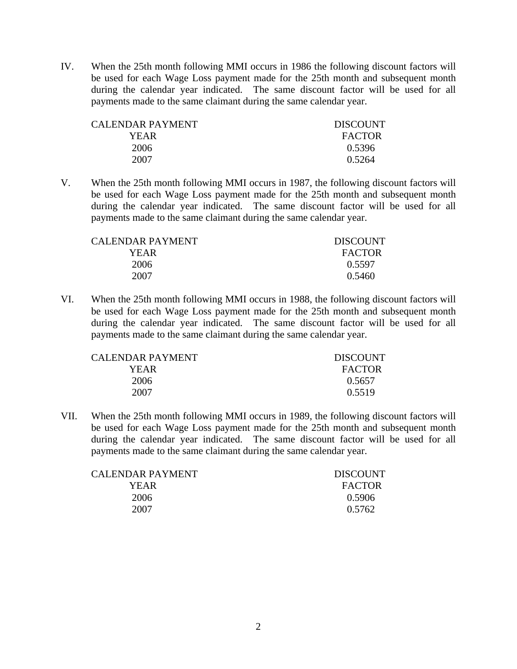IV. When the 25th month following MMI occurs in 1986 the following discount factors will be used for each Wage Loss payment made for the 25th month and subsequent month during the calendar year indicated. The same discount factor will be used for all payments made to the same claimant during the same calendar year.

| CALENDAR PAYMENT | <b>DISCOUNT</b> |
|------------------|-----------------|
| YEAR             | <b>FACTOR</b>   |
| 2006             | 0.5396          |
| 2007             | 0.5264          |

V. When the 25th month following MMI occurs in 1987, the following discount factors will be used for each Wage Loss payment made for the 25th month and subsequent month during the calendar year indicated. The same discount factor will be used for all payments made to the same claimant during the same calendar year.

| CALENDAR PAYMENT | <b>DISCOUNT</b> |
|------------------|-----------------|
| YEAR.            | <b>FACTOR</b>   |
| 2006             | 0.5597          |
| 2007             | 0.5460          |

VI. When the 25th month following MMI occurs in 1988, the following discount factors will be used for each Wage Loss payment made for the 25th month and subsequent month during the calendar year indicated. The same discount factor will be used for all payments made to the same claimant during the same calendar year.

| CALENDAR PAYMENT | <b>DISCOUNT</b> |
|------------------|-----------------|
| YEAR.            | <b>FACTOR</b>   |
| 2006             | 0.5657          |
| 2007             | 0.5519          |

VII. When the 25th month following MMI occurs in 1989, the following discount factors will be used for each Wage Loss payment made for the 25th month and subsequent month during the calendar year indicated. The same discount factor will be used for all payments made to the same claimant during the same calendar year.

| CALENDAR PAYMENT | <b>DISCOUNT</b> |
|------------------|-----------------|
| YEAR.            | <b>FACTOR</b>   |
| 2006             | 0.5906          |
| 2007             | 0.5762          |
|                  |                 |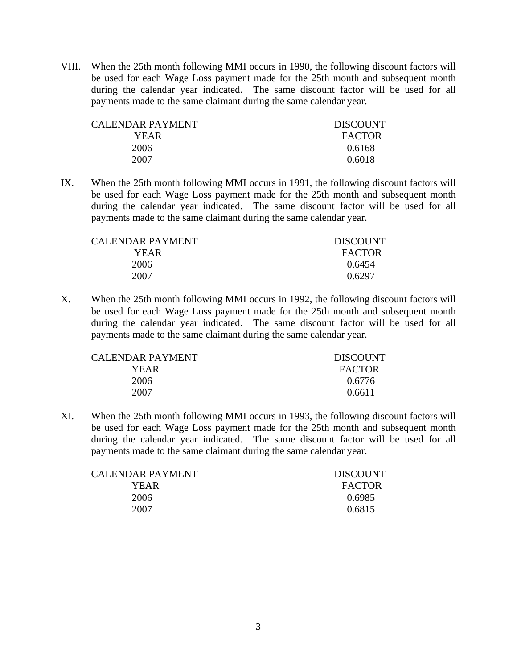VIII. When the 25th month following MMI occurs in 1990, the following discount factors will be used for each Wage Loss payment made for the 25th month and subsequent month during the calendar year indicated. The same discount factor will be used for all payments made to the same claimant during the same calendar year.

| CALENDAR PAYMENT- | <b>DISCOUNT</b> |
|-------------------|-----------------|
| YEAR              | <b>FACTOR</b>   |
| 2006              | 0.6168          |
| 2007              | 0.6018          |

IX. When the 25th month following MMI occurs in 1991, the following discount factors will be used for each Wage Loss payment made for the 25th month and subsequent month during the calendar year indicated. The same discount factor will be used for all payments made to the same claimant during the same calendar year.

| <b>DISCOUNT</b> |
|-----------------|
| <b>FACTOR</b>   |
| 0.6454          |
| 0.6297          |
|                 |

X. When the 25th month following MMI occurs in 1992, the following discount factors will be used for each Wage Loss payment made for the 25th month and subsequent month during the calendar year indicated. The same discount factor will be used for all payments made to the same claimant during the same calendar year.

| <b>CALENDAR PAYMENT</b> | <b>DISCOUNT</b> |
|-------------------------|-----------------|
| YEAR                    | <b>FACTOR</b>   |
| 2006                    | 0.6776          |
| 2007                    | 0.6611          |

XI. When the 25th month following MMI occurs in 1993, the following discount factors will be used for each Wage Loss payment made for the 25th month and subsequent month during the calendar year indicated. The same discount factor will be used for all payments made to the same claimant during the same calendar year.

| CALENDAR PAYMENT | <b>DISCOUNT</b> |
|------------------|-----------------|
| YEAR             | <b>FACTOR</b>   |
| 2006             | 0.6985          |
| 2007             | 0.6815          |
|                  |                 |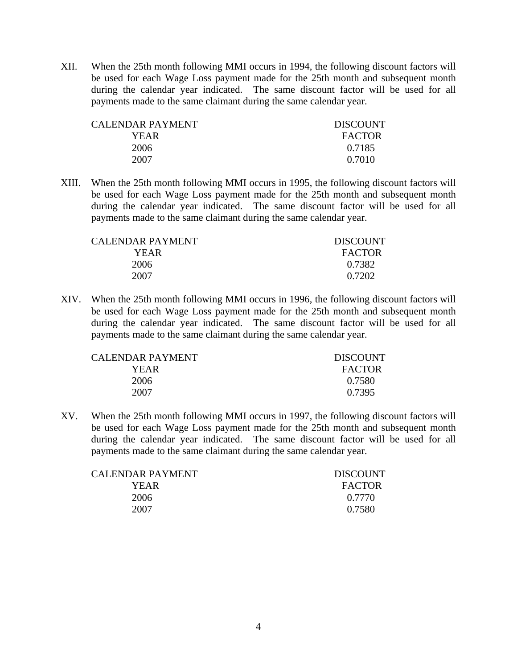XII. When the 25th month following MMI occurs in 1994, the following discount factors will be used for each Wage Loss payment made for the 25th month and subsequent month during the calendar year indicated. The same discount factor will be used for all payments made to the same claimant during the same calendar year.

| CALENDAR PAYMENT | <b>DISCOUNT</b> |
|------------------|-----------------|
| YEAR             | <b>FACTOR</b>   |
| 2006             | 0.7185          |
| 2007             | 0.7010          |

XIII. When the 25th month following MMI occurs in 1995, the following discount factors will be used for each Wage Loss payment made for the 25th month and subsequent month during the calendar year indicated. The same discount factor will be used for all payments made to the same claimant during the same calendar year.

| CALENDAR PAYMENT. | <b>DISCOUNT</b> |
|-------------------|-----------------|
| YEAR              | <b>FACTOR</b>   |
| 2006              | 0.7382          |
| 2007              | 0.7202          |

XIV. When the 25th month following MMI occurs in 1996, the following discount factors will be used for each Wage Loss payment made for the 25th month and subsequent month during the calendar year indicated. The same discount factor will be used for all payments made to the same claimant during the same calendar year.

| CALENDAR PAYMENT | <b>DISCOUNT</b> |
|------------------|-----------------|
| YEAR             | <b>FACTOR</b>   |
| 2006             | 0.7580          |
| 2007             | 0.7395          |

XV. When the 25th month following MMI occurs in 1997, the following discount factors will be used for each Wage Loss payment made for the 25th month and subsequent month during the calendar year indicated. The same discount factor will be used for all payments made to the same claimant during the same calendar year.

| CALENDAR PAYMENT | <b>DISCOUNT</b> |
|------------------|-----------------|
| YEAR             | <b>FACTOR</b>   |
| 2006             | 0.7770          |
| 2007             | 0.7580          |
|                  |                 |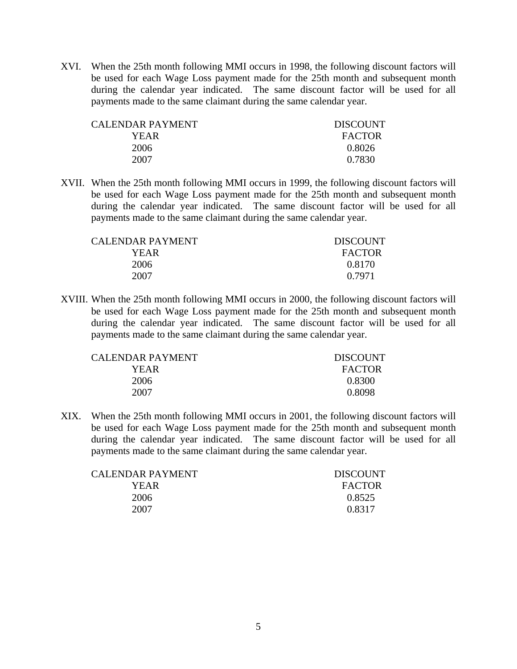XVI. When the 25th month following MMI occurs in 1998, the following discount factors will be used for each Wage Loss payment made for the 25th month and subsequent month during the calendar year indicated. The same discount factor will be used for all payments made to the same claimant during the same calendar year.

| CALENDAR PAYMENT | <b>DISCOUNT</b> |
|------------------|-----------------|
| YEAR             | <b>FACTOR</b>   |
| 2006             | 0.8026          |
| 2007             | 0.7830          |

XVII. When the 25th month following MMI occurs in 1999, the following discount factors will be used for each Wage Loss payment made for the 25th month and subsequent month during the calendar year indicated. The same discount factor will be used for all payments made to the same claimant during the same calendar year.

| CALENDAR PAYMENT | <b>DISCOUNT</b> |
|------------------|-----------------|
| YEAR             | <b>FACTOR</b>   |
| 2006             | 0.8170          |
| 2007             | 0.7971          |

XVIII. When the 25th month following MMI occurs in 2000, the following discount factors will be used for each Wage Loss payment made for the 25th month and subsequent month during the calendar year indicated. The same discount factor will be used for all payments made to the same claimant during the same calendar year.

| CALENDAR PAYMENT | <b>DISCOUNT</b> |
|------------------|-----------------|
| YEAR             | <b>FACTOR</b>   |
| 2006             | 0.8300          |
| 2007             | 0.8098          |

XIX. When the 25th month following MMI occurs in 2001, the following discount factors will be used for each Wage Loss payment made for the 25th month and subsequent month during the calendar year indicated. The same discount factor will be used for all payments made to the same claimant during the same calendar year.

| CALENDAR PAYMENT | <b>DISCOUNT</b> |
|------------------|-----------------|
| YEAR             | <b>FACTOR</b>   |
| 2006             | 0.8525          |
| 2007             | 0.8317          |
|                  |                 |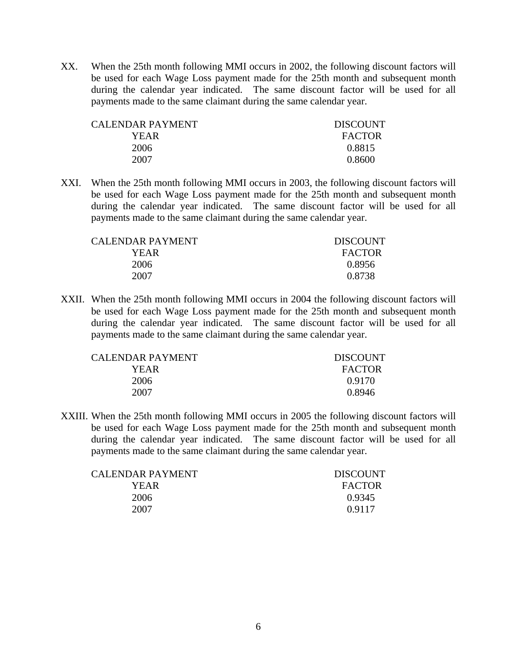XX. When the 25th month following MMI occurs in 2002, the following discount factors will be used for each Wage Loss payment made for the 25th month and subsequent month during the calendar year indicated. The same discount factor will be used for all payments made to the same claimant during the same calendar year.

| CALENDAR PAYMENT | <b>DISCOUNT</b> |
|------------------|-----------------|
| YEAR             | <b>FACTOR</b>   |
| 2006             | 0.8815          |
| 2007             | 0.8600          |

XXI. When the 25th month following MMI occurs in 2003, the following discount factors will be used for each Wage Loss payment made for the 25th month and subsequent month during the calendar year indicated. The same discount factor will be used for all payments made to the same claimant during the same calendar year.

| <b>DISCOUNT</b> |
|-----------------|
| <b>FACTOR</b>   |
| 0.8956          |
| 0.8738          |
|                 |

XXII. When the 25th month following MMI occurs in 2004 the following discount factors will be used for each Wage Loss payment made for the 25th month and subsequent month during the calendar year indicated. The same discount factor will be used for all payments made to the same claimant during the same calendar year.

| <b>CALENDAR PAYMENT</b> | <b>DISCOUNT</b> |
|-------------------------|-----------------|
| YEAR                    | <b>FACTOR</b>   |
| 2006                    | 0.9170          |
| 2007                    | 0.8946          |

XXIII. When the 25th month following MMI occurs in 2005 the following discount factors will be used for each Wage Loss payment made for the 25th month and subsequent month during the calendar year indicated. The same discount factor will be used for all payments made to the same claimant during the same calendar year.

| CALENDAR PAYMENT | <b>DISCOUNT</b> |
|------------------|-----------------|
| YEAR             | <b>FACTOR</b>   |
| 2006             | 0.9345          |
| 2007             | 0.9117          |
|                  |                 |